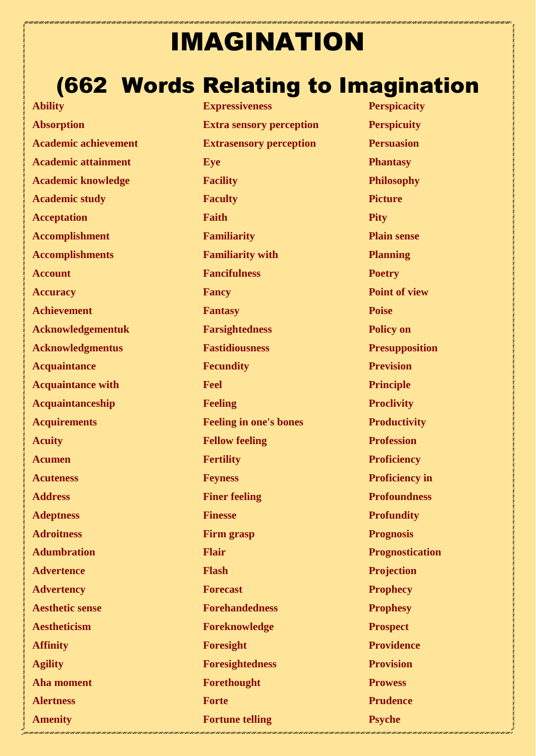## IMAGINATION

## (662 Words Relating to Imagination

**Ability Absorption Academic achievement Academic attainment Academic knowledge Academic study Acceptation Accomplishment Accomplishments Account Accuracy Achievement Acknowledgementuk Acknowledgmentus Acquaintance Acquaintance with Acquaintanceship Acquirements Acuity Acumen Acuteness Address Adeptness Adroitness Adumbration Advertence Advertency Aesthetic sense Aestheticism Affinity Agility Aha moment Alertness Amenity**

**Expressiveness Extra sensory perception Extrasensory perception Eye Facility Faculty Faith Familiarity Familiarity with Fancifulness Fancy Fantasy Farsightedness Fastidiousness Fecundity Feel Feeling Feeling in one's bones Fellow feeling Fertility Feyness Finer feeling Finesse Firm grasp Flair Flash Forecast Forehandedness Foreknowledge Foresight Foresightedness Forethought Forte Fortune telling**

**Perspicacity Perspicuity Persuasion Phantasy Philosophy Picture Pity Plain sense Planning Poetry Point of view Poise Policy on Presupposition Prevision Principle Proclivity Productivity Profession Proficiency Proficiency in Profoundness Profundity Prognosis Prognostication Projection Prophecy Prophesy Prospect Providence Provision Prowess Prudence Psyche**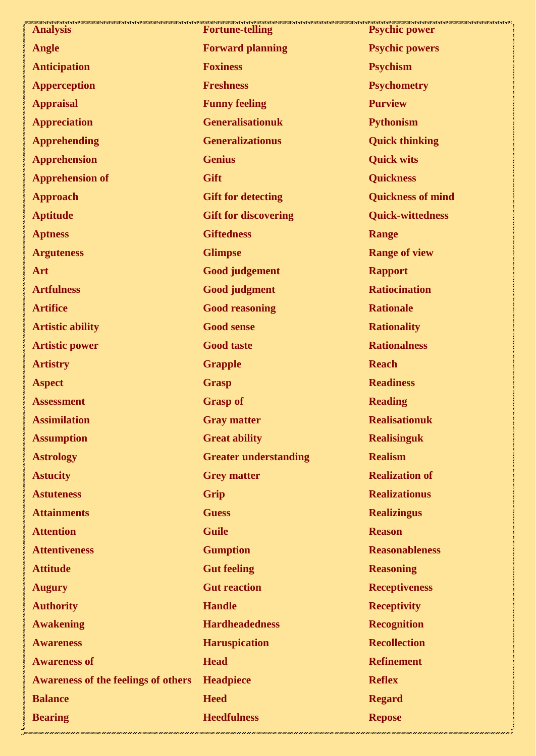| <b>Analysis</b>                            | <b>Fortune-telling</b>       | <b>Psychic power</b>     |
|--------------------------------------------|------------------------------|--------------------------|
| <b>Angle</b>                               | <b>Forward planning</b>      | <b>Psychic powers</b>    |
| <b>Anticipation</b>                        | <b>Foxiness</b>              | <b>Psychism</b>          |
| <b>Apperception</b>                        | <b>Freshness</b>             | <b>Psychometry</b>       |
| <b>Appraisal</b>                           | <b>Funny feeling</b>         | <b>Purview</b>           |
| <b>Appreciation</b>                        | <b>Generalisationuk</b>      | <b>Pythonism</b>         |
| <b>Apprehending</b>                        | <b>Generalizationus</b>      | <b>Quick thinking</b>    |
| <b>Apprehension</b>                        | <b>Genius</b>                | <b>Quick wits</b>        |
| <b>Apprehension of</b>                     | Gift                         | <b>Quickness</b>         |
| <b>Approach</b>                            | <b>Gift for detecting</b>    | <b>Quickness of mind</b> |
| <b>Aptitude</b>                            | <b>Gift for discovering</b>  | <b>Quick-wittedness</b>  |
| <b>Aptness</b>                             | <b>Giftedness</b>            | <b>Range</b>             |
| <b>Arguteness</b>                          | <b>Glimpse</b>               | <b>Range of view</b>     |
| Art                                        | <b>Good judgement</b>        | <b>Rapport</b>           |
| <b>Artfulness</b>                          | <b>Good judgment</b>         | <b>Ratiocination</b>     |
| <b>Artifice</b>                            | <b>Good reasoning</b>        | <b>Rationale</b>         |
| <b>Artistic ability</b>                    | <b>Good sense</b>            | <b>Rationality</b>       |
| <b>Artistic power</b>                      | <b>Good taste</b>            | <b>Rationalness</b>      |
| <b>Artistry</b>                            | <b>Grapple</b>               | <b>Reach</b>             |
| <b>Aspect</b>                              | <b>Grasp</b>                 | <b>Readiness</b>         |
| <b>Assessment</b>                          | <b>Grasp of</b>              | <b>Reading</b>           |
| <b>Assimilation</b>                        | <b>Gray matter</b>           | <b>Realisationuk</b>     |
| <b>Assumption</b>                          | <b>Great ability</b>         | <b>Realisinguk</b>       |
| <b>Astrology</b>                           | <b>Greater understanding</b> | <b>Realism</b>           |
| <b>Astucity</b>                            | <b>Grey matter</b>           | <b>Realization of</b>    |
| <b>Astuteness</b>                          | Grip                         | <b>Realizationus</b>     |
| <b>Attainments</b>                         | <b>Guess</b>                 | <b>Realizingus</b>       |
| <b>Attention</b>                           | <b>Guile</b>                 | <b>Reason</b>            |
| <b>Attentiveness</b>                       | <b>Gumption</b>              | <b>Reasonableness</b>    |
| <b>Attitude</b>                            | <b>Gut feeling</b>           | <b>Reasoning</b>         |
| <b>Augury</b>                              | <b>Gut reaction</b>          | <b>Receptiveness</b>     |
| <b>Authority</b>                           | <b>Handle</b>                | <b>Receptivity</b>       |
| <b>Awakening</b>                           | <b>Hardheadedness</b>        | <b>Recognition</b>       |
| <b>Awareness</b>                           | <b>Haruspication</b>         | <b>Recollection</b>      |
| <b>Awareness of</b>                        | <b>Head</b>                  | <b>Refinement</b>        |
| <b>Awareness of the feelings of others</b> | <b>Headpiece</b>             | <b>Reflex</b>            |
| <b>Balance</b>                             | <b>Heed</b>                  | <b>Regard</b>            |
| <b>Bearing</b>                             | <b>Heedfulness</b>           | <b>Repose</b>            |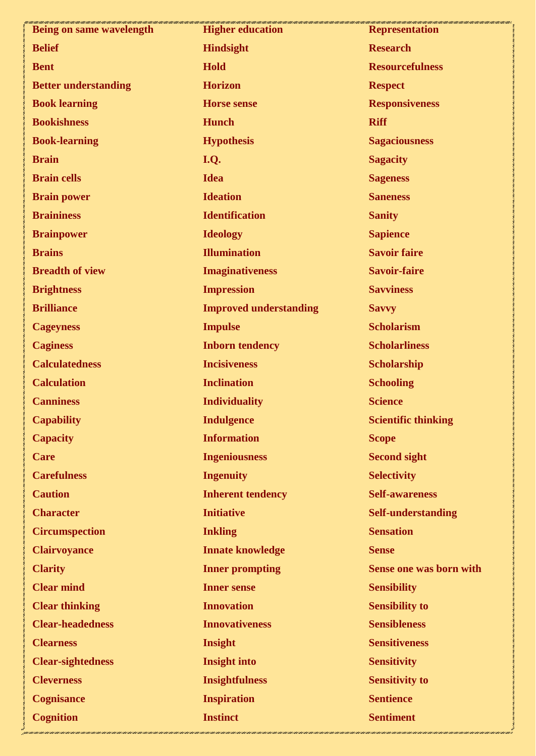| Being on same wavelength    | <b>Higher education</b>       | <b>Representation</b>          |
|-----------------------------|-------------------------------|--------------------------------|
| <b>Belief</b>               | <b>Hindsight</b>              | <b>Research</b>                |
| <b>Bent</b>                 | <b>Hold</b>                   | <b>Resourcefulness</b>         |
| <b>Better understanding</b> | <b>Horizon</b>                | <b>Respect</b>                 |
| <b>Book learning</b>        | <b>Horse sense</b>            | <b>Responsiveness</b>          |
| <b>Bookishness</b>          | <b>Hunch</b>                  | <b>Riff</b>                    |
| <b>Book-learning</b>        | <b>Hypothesis</b>             | <b>Sagaciousness</b>           |
| <b>Brain</b>                | I.Q.                          | <b>Sagacity</b>                |
| <b>Brain cells</b>          | <b>Idea</b>                   | <b>Sageness</b>                |
| <b>Brain power</b>          | <b>Ideation</b>               | <b>Saneness</b>                |
| <b>Braininess</b>           | <b>Identification</b>         | <b>Sanity</b>                  |
| <b>Brainpower</b>           | <b>Ideology</b>               | <b>Sapience</b>                |
| <b>Brains</b>               | <b>Illumination</b>           | <b>Savoir faire</b>            |
| <b>Breadth of view</b>      | <b>Imaginativeness</b>        | <b>Savoir-faire</b>            |
| <b>Brightness</b>           | <b>Impression</b>             | <b>Savviness</b>               |
| <b>Brilliance</b>           | <b>Improved understanding</b> | <b>Savvy</b>                   |
| <b>Cageyness</b>            | <b>Impulse</b>                | <b>Scholarism</b>              |
| <b>Caginess</b>             | <b>Inborn tendency</b>        | <b>Scholarliness</b>           |
| <b>Calculatedness</b>       | <b>Incisiveness</b>           | <b>Scholarship</b>             |
| <b>Calculation</b>          | <b>Inclination</b>            | <b>Schooling</b>               |
| <b>Canniness</b>            | <b>Individuality</b>          | <b>Science</b>                 |
| <b>Capability</b>           | <b>Indulgence</b>             | <b>Scientific thinking</b>     |
| <b>Capacity</b>             | <b>Information</b>            | <b>Scope</b>                   |
| <b>Care</b>                 | <b>Ingeniousness</b>          | <b>Second sight</b>            |
| <b>Carefulness</b>          | <b>Ingenuity</b>              | <b>Selectivity</b>             |
| <b>Caution</b>              | <b>Inherent tendency</b>      | <b>Self-awareness</b>          |
| <b>Character</b>            | <b>Initiative</b>             | <b>Self-understanding</b>      |
| <b>Circumspection</b>       | <b>Inkling</b>                | <b>Sensation</b>               |
| <b>Clairvoyance</b>         | <b>Innate knowledge</b>       | <b>Sense</b>                   |
| <b>Clarity</b>              | <b>Inner prompting</b>        | <b>Sense one was born with</b> |
| <b>Clear mind</b>           | <b>Inner sense</b>            | <b>Sensibility</b>             |
| <b>Clear thinking</b>       | <b>Innovation</b>             | <b>Sensibility to</b>          |
| <b>Clear-headedness</b>     | <b>Innovativeness</b>         | <b>Sensibleness</b>            |
| <b>Clearness</b>            | Insight                       | <b>Sensitiveness</b>           |
| <b>Clear-sightedness</b>    | <b>Insight into</b>           | <b>Sensitivity</b>             |
| <b>Cleverness</b>           | <b>Insightfulness</b>         | <b>Sensitivity to</b>          |
| <b>Cognisance</b>           | <b>Inspiration</b>            | <b>Sentience</b>               |
| <b>Cognition</b>            | <b>Instinct</b>               | <b>Sentiment</b>               |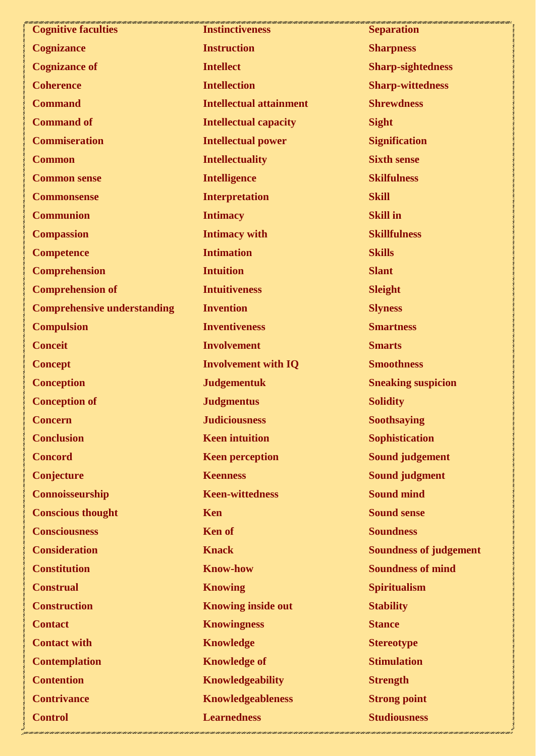| <b>Cognitive faculties</b>         | <b>Instinctiveness</b>         | 11 1 000 1 000 1 000 1 000 1 000 1 000 1 000 1 000 1 000 1 000 1 000 1 000 1 000 1 000 1 000 1 000 1 000 1 000<br><b>Separation</b> |
|------------------------------------|--------------------------------|-------------------------------------------------------------------------------------------------------------------------------------|
| <b>Cognizance</b>                  | <b>Instruction</b>             | <b>Sharpness</b>                                                                                                                    |
| <b>Cognizance of</b>               | <b>Intellect</b>               | <b>Sharp-sightedness</b>                                                                                                            |
| <b>Coherence</b>                   | <b>Intellection</b>            | <b>Sharp-wittedness</b>                                                                                                             |
| <b>Command</b>                     | <b>Intellectual attainment</b> | <b>Shrewdness</b>                                                                                                                   |
| <b>Command of</b>                  | <b>Intellectual capacity</b>   | <b>Sight</b>                                                                                                                        |
| <b>Commiseration</b>               | <b>Intellectual power</b>      | <b>Signification</b>                                                                                                                |
| <b>Common</b>                      | <b>Intellectuality</b>         | <b>Sixth sense</b>                                                                                                                  |
| <b>Common sense</b>                | <b>Intelligence</b>            | <b>Skilfulness</b>                                                                                                                  |
| <b>Commonsense</b>                 | <b>Interpretation</b>          | <b>Skill</b>                                                                                                                        |
| <b>Communion</b>                   | <b>Intimacy</b>                | <b>Skill in</b>                                                                                                                     |
| <b>Compassion</b>                  | <b>Intimacy with</b>           | <b>Skillfulness</b>                                                                                                                 |
| <b>Competence</b>                  | <b>Intimation</b>              | <b>Skills</b>                                                                                                                       |
| <b>Comprehension</b>               | <b>Intuition</b>               | <b>Slant</b>                                                                                                                        |
| <b>Comprehension of</b>            | <b>Intuitiveness</b>           | <b>Sleight</b>                                                                                                                      |
| <b>Comprehensive understanding</b> | <b>Invention</b>               | <b>Slyness</b>                                                                                                                      |
| <b>Compulsion</b>                  | <b>Inventiveness</b>           | <b>Smartness</b>                                                                                                                    |
| <b>Conceit</b>                     | <b>Involvement</b>             | <b>Smarts</b>                                                                                                                       |
| <b>Concept</b>                     | <b>Involvement with IQ</b>     | <b>Smoothness</b>                                                                                                                   |
| <b>Conception</b>                  | <b>Judgementuk</b>             | <b>Sneaking suspicion</b>                                                                                                           |
| <b>Conception of</b>               | <b>Judgmentus</b>              | <b>Solidity</b>                                                                                                                     |
| <b>Concern</b>                     | <b>Judiciousness</b>           | Soothsaying                                                                                                                         |
| <b>Conclusion</b>                  | <b>Keen intuition</b>          | <b>Sophistication</b>                                                                                                               |
| <b>Concord</b>                     | <b>Keen perception</b>         | <b>Sound judgement</b>                                                                                                              |
| Conjecture                         | <b>Keenness</b>                | <b>Sound judgment</b>                                                                                                               |
| Connoisseurship                    | <b>Keen-wittedness</b>         | <b>Sound mind</b>                                                                                                                   |
| <b>Conscious thought</b>           | <b>Ken</b>                     | <b>Sound sense</b>                                                                                                                  |
| <b>Consciousness</b>               | <b>Ken</b> of                  | <b>Soundness</b>                                                                                                                    |
| <b>Consideration</b>               | <b>Knack</b>                   | <b>Soundness of judgement</b>                                                                                                       |
| <b>Constitution</b>                | <b>Know-how</b>                | <b>Soundness of mind</b>                                                                                                            |
| <b>Construal</b>                   | <b>Knowing</b>                 | <b>Spiritualism</b>                                                                                                                 |
| <b>Construction</b>                | <b>Knowing inside out</b>      | <b>Stability</b>                                                                                                                    |
| <b>Contact</b>                     | <b>Knowingness</b>             | <b>Stance</b>                                                                                                                       |
| <b>Contact with</b>                | <b>Knowledge</b>               | <b>Stereotype</b>                                                                                                                   |
| <b>Contemplation</b>               | <b>Knowledge of</b>            | <b>Stimulation</b>                                                                                                                  |
| <b>Contention</b>                  | <b>Knowledgeability</b>        | <b>Strength</b>                                                                                                                     |
| <b>Contrivance</b>                 | <b>Knowledgeableness</b>       | <b>Strong point</b>                                                                                                                 |
| <b>Control</b>                     | <b>Learnedness</b>             | <b>Studiousness</b>                                                                                                                 |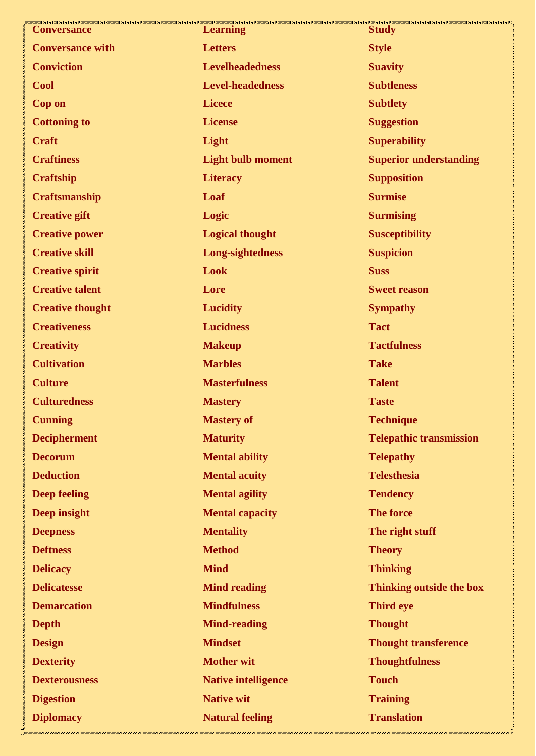| <b>Conversance</b>      | <b>Learning</b>            | <b>Study</b>                   |
|-------------------------|----------------------------|--------------------------------|
| <b>Conversance with</b> | <b>Letters</b>             | <b>Style</b>                   |
| <b>Conviction</b>       | <b>Levelheadedness</b>     | <b>Suavity</b>                 |
| <b>Cool</b>             | <b>Level-headedness</b>    | <b>Subtleness</b>              |
| <b>Cop on</b>           | <b>Licece</b>              | <b>Subtlety</b>                |
| <b>Cottoning to</b>     | <b>License</b>             | <b>Suggestion</b>              |
| <b>Craft</b>            | Light                      | <b>Superability</b>            |
| <b>Craftiness</b>       | <b>Light bulb moment</b>   | <b>Superior understanding</b>  |
| <b>Craftship</b>        | <b>Literacy</b>            | <b>Supposition</b>             |
| <b>Craftsmanship</b>    | Loaf                       | <b>Surmise</b>                 |
| <b>Creative gift</b>    | Logic                      | <b>Surmising</b>               |
| <b>Creative power</b>   | <b>Logical thought</b>     | <b>Susceptibility</b>          |
| <b>Creative skill</b>   | Long-sightedness           | <b>Suspicion</b>               |
| <b>Creative spirit</b>  | Look                       | <b>Suss</b>                    |
| <b>Creative talent</b>  | Lore                       | <b>Sweet reason</b>            |
| <b>Creative thought</b> | <b>Lucidity</b>            | <b>Sympathy</b>                |
| <b>Creativeness</b>     | <b>Lucidness</b>           | <b>Tact</b>                    |
| <b>Creativity</b>       | <b>Makeup</b>              | <b>Tactfulness</b>             |
| <b>Cultivation</b>      | <b>Marbles</b>             | <b>Take</b>                    |
| <b>Culture</b>          | <b>Masterfulness</b>       | <b>Talent</b>                  |
| <b>Culturedness</b>     | <b>Mastery</b>             | <b>Taste</b>                   |
| <b>Cunning</b>          | <b>Mastery of</b>          | <b>Technique</b>               |
| <b>Decipherment</b>     | <b>Maturity</b>            | <b>Telepathic transmission</b> |
| <b>Decorum</b>          | <b>Mental ability</b>      | <b>Telepathy</b>               |
| <b>Deduction</b>        | <b>Mental acuity</b>       | <b>Telesthesia</b>             |
| <b>Deep feeling</b>     | <b>Mental agility</b>      | <b>Tendency</b>                |
| Deep insight            | <b>Mental capacity</b>     | <b>The force</b>               |
| <b>Deepness</b>         | <b>Mentality</b>           | The right stuff                |
| <b>Deftness</b>         | <b>Method</b>              | <b>Theory</b>                  |
| <b>Delicacy</b>         | <b>Mind</b>                | <b>Thinking</b>                |
| <b>Delicatesse</b>      | <b>Mind reading</b>        | Thinking outside the box       |
| <b>Demarcation</b>      | <b>Mindfulness</b>         | <b>Third eye</b>               |
| <b>Depth</b>            | <b>Mind-reading</b>        | <b>Thought</b>                 |
| <b>Design</b>           | <b>Mindset</b>             | <b>Thought transference</b>    |
| <b>Dexterity</b>        | <b>Mother wit</b>          | <b>Thoughtfulness</b>          |
| <b>Dexterousness</b>    | <b>Native intelligence</b> | <b>Touch</b>                   |
| <b>Digestion</b>        | <b>Native wit</b>          | <b>Training</b>                |
| <b>Diplomacy</b>        | <b>Natural feeling</b>     | <b>Translation</b>             |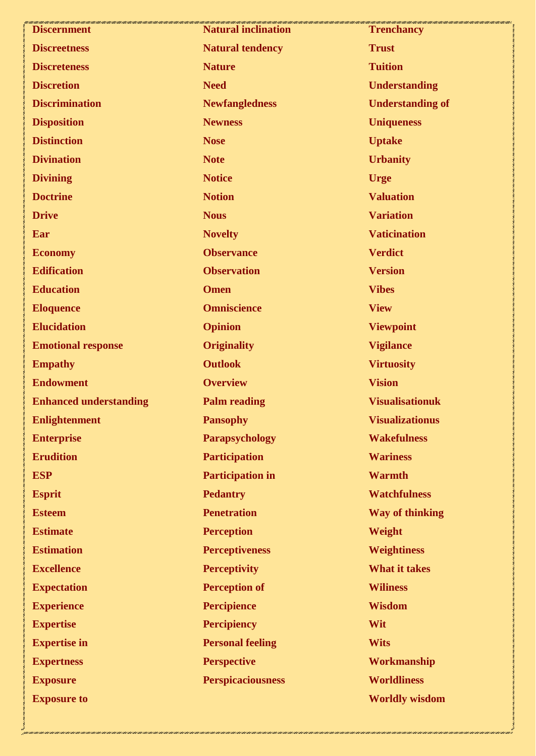| <b>Discernment</b>            | 1997 / 1997 / 1997 / 1997 / 1997 / 1997 / 1997 / 1997 / 1997 / 1997 / 1997 / 1997 / 1997 / 1997 / 1997<br><b>Natural inclination</b> | <b>Trenchancy</b>       |
|-------------------------------|--------------------------------------------------------------------------------------------------------------------------------------|-------------------------|
| <b>Discreetness</b>           | <b>Natural tendency</b>                                                                                                              | <b>Trust</b>            |
| <b>Discreteness</b>           | <b>Nature</b>                                                                                                                        | <b>Tuition</b>          |
| <b>Discretion</b>             | <b>Need</b>                                                                                                                          | <b>Understanding</b>    |
| <b>Discrimination</b>         | <b>Newfangledness</b>                                                                                                                | <b>Understanding of</b> |
| <b>Disposition</b>            | <b>Newness</b>                                                                                                                       | <b>Uniqueness</b>       |
| <b>Distinction</b>            | <b>Nose</b>                                                                                                                          | <b>Uptake</b>           |
| <b>Divination</b>             | <b>Note</b>                                                                                                                          | <b>Urbanity</b>         |
| <b>Divining</b>               | <b>Notice</b>                                                                                                                        | <b>Urge</b>             |
| <b>Doctrine</b>               | <b>Notion</b>                                                                                                                        | <b>Valuation</b>        |
| <b>Drive</b>                  | <b>Nous</b>                                                                                                                          | <b>Variation</b>        |
| Ear                           | <b>Novelty</b>                                                                                                                       | <b>Vaticination</b>     |
| <b>Economy</b>                | <b>Observance</b>                                                                                                                    | <b>Verdict</b>          |
| <b>Edification</b>            | <b>Observation</b>                                                                                                                   | <b>Version</b>          |
| <b>Education</b>              | <b>Omen</b>                                                                                                                          | <b>Vibes</b>            |
| <b>Eloquence</b>              | <b>Omniscience</b>                                                                                                                   | <b>View</b>             |
| <b>Elucidation</b>            | <b>Opinion</b>                                                                                                                       | <b>Viewpoint</b>        |
| <b>Emotional response</b>     | <b>Originality</b>                                                                                                                   | <b>Vigilance</b>        |
| <b>Empathy</b>                | <b>Outlook</b>                                                                                                                       | <b>Virtuosity</b>       |
| <b>Endowment</b>              | <b>Overview</b>                                                                                                                      | <b>Vision</b>           |
| <b>Enhanced understanding</b> | <b>Palm reading</b>                                                                                                                  | <b>Visualisationuk</b>  |
| <b>Enlightenment</b>          | <b>Pansophy</b>                                                                                                                      | <b>Visualizationus</b>  |
| <b>Enterprise</b>             | <b>Parapsychology</b>                                                                                                                | <b>Wakefulness</b>      |
| <b>Erudition</b>              | <b>Participation</b>                                                                                                                 | <b>Wariness</b>         |
| <b>ESP</b>                    | <b>Participation in</b>                                                                                                              | <b>Warmth</b>           |
| <b>Esprit</b>                 | <b>Pedantry</b>                                                                                                                      | <b>Watchfulness</b>     |
| <b>Esteem</b>                 | <b>Penetration</b>                                                                                                                   | <b>Way of thinking</b>  |
| <b>Estimate</b>               | <b>Perception</b>                                                                                                                    | Weight                  |
| <b>Estimation</b>             | <b>Perceptiveness</b>                                                                                                                | <b>Weightiness</b>      |
| <b>Excellence</b>             | <b>Perceptivity</b>                                                                                                                  | <b>What it takes</b>    |
| <b>Expectation</b>            | <b>Perception of</b>                                                                                                                 | <b>Wiliness</b>         |
| <b>Experience</b>             | <b>Percipience</b>                                                                                                                   | <b>Wisdom</b>           |
| <b>Expertise</b>              | <b>Percipiency</b>                                                                                                                   | Wit                     |
| <b>Expertise in</b>           | <b>Personal feeling</b>                                                                                                              | <b>Wits</b>             |
| <b>Expertness</b>             | <b>Perspective</b>                                                                                                                   | Workmanship             |
| <b>Exposure</b>               | <b>Perspicaciousness</b>                                                                                                             | <b>Worldliness</b>      |
| <b>Exposure to</b>            |                                                                                                                                      | <b>Worldly wisdom</b>   |